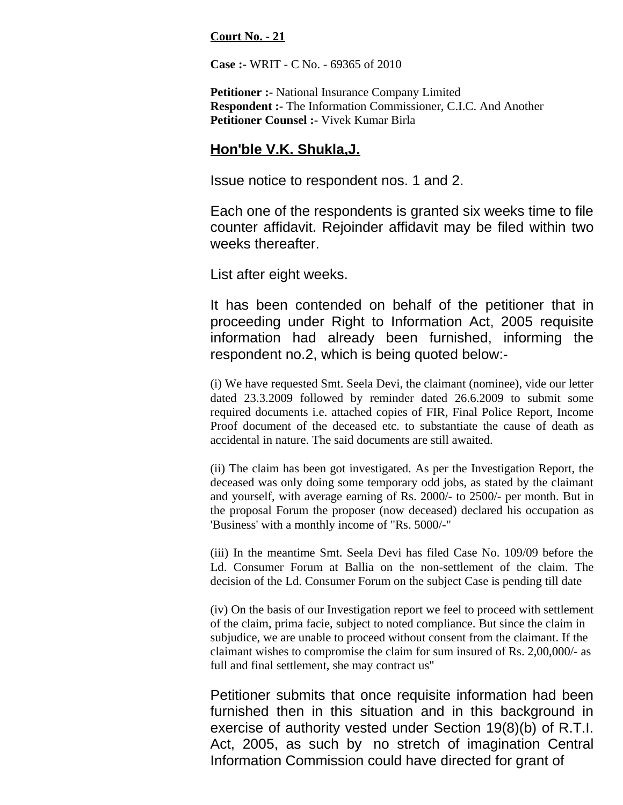**Court No. - 21**

**Case :-** WRIT - C No. - 69365 of 2010

**Petitioner :-** National Insurance Company Limited **Respondent :-** The Information Commissioner, C.I.C. And Another **Petitioner Counsel :-** Vivek Kumar Birla

## **Hon'ble V.K. Shukla,J.**

Issue notice to respondent nos. 1 and 2.

Each one of the respondents is granted six weeks time to file counter affidavit. Rejoinder affidavit may be filed within two weeks thereafter.

List after eight weeks.

It has been contended on behalf of the petitioner that in proceeding under Right to Information Act, 2005 requisite information had already been furnished, informing the respondent no.2, which is being quoted below:-

(i) We have requested Smt. Seela Devi, the claimant (nominee), vide our letter dated 23.3.2009 followed by reminder dated 26.6.2009 to submit some required documents i.e. attached copies of FIR, Final Police Report, Income Proof document of the deceased etc. to substantiate the cause of death as accidental in nature. The said documents are still awaited.

(ii) The claim has been got investigated. As per the Investigation Report, the deceased was only doing some temporary odd jobs, as stated by the claimant and yourself, with average earning of Rs. 2000/- to 2500/- per month. But in the proposal Forum the proposer (now deceased) declared his occupation as 'Business' with a monthly income of "Rs. 5000/-"

(iii) In the meantime Smt. Seela Devi has filed Case No. 109/09 before the Ld. Consumer Forum at Ballia on the non-settlement of the claim. The decision of the Ld. Consumer Forum on the subject Case is pending till date

(iv) On the basis of our Investigation report we feel to proceed with settlement of the claim, prima facie, subject to noted compliance. But since the claim in subjudice, we are unable to proceed without consent from the claimant. If the claimant wishes to compromise the claim for sum insured of Rs. 2,00,000/- as full and final settlement, she may contract us"

Petitioner submits that once requisite information had been furnished then in this situation and in this background in exercise of authority vested under Section 19(8)(b) of R.T.I. Act, 2005, as such by no stretch of imagination Central Information Commission could have directed for grant of